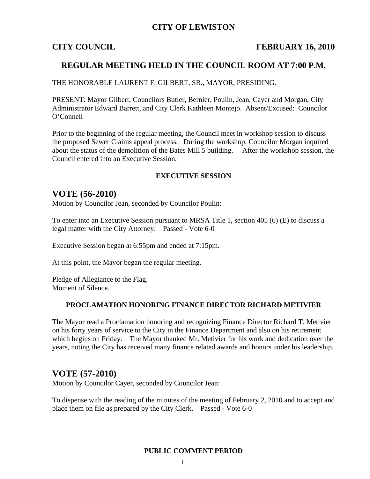## **CITY OF LEWISTON**

## **CITY COUNCIL FEBRUARY 16, 2010**

## **REGULAR MEETING HELD IN THE COUNCIL ROOM AT 7:00 P.M.**

THE HONORABLE LAURENT F. GILBERT, SR., MAYOR, PRESIDING.

PRESENT: Mayor Gilbert, Councilors Butler, Bernier, Poulin, Jean, Cayer and Morgan, City Administrator Edward Barrett, and City Clerk Kathleen Montejo. Absent/Excused: Councilor O'Connell

Prior to the beginning of the regular meeting, the Council meet in workshop session to discuss the proposed Sewer Claims appeal process. During the workshop, Councilor Morgan inquired about the status of the demolition of the Bates Mill 5 building. After the workshop session, the Council entered into an Executive Session.

### **EXECUTIVE SESSION**

## **VOTE (56-2010)**

Motion by Councilor Jean, seconded by Councilor Poulin:

To enter into an Executive Session pursuant to MRSA Title 1, section 405 (6) (E) to discuss a legal matter with the City Attorney. Passed - Vote 6-0

Executive Session began at 6:55pm and ended at 7:15pm.

At this point, the Mayor began the regular meeting.

Pledge of Allegiance to the Flag. Moment of Silence.

### **PROCLAMATION HONORING FINANCE DIRECTOR RICHARD METIVIER**

The Mayor read a Proclamation honoring and recognizing Finance Director Richard T. Metivier on his forty years of service to the City in the Finance Department and also on his retirement which begins on Friday. The Mayor thanked Mr. Metivier for his work and dedication over the years, noting the City has received many finance related awards and honors under his leadership.

## **VOTE (57-2010)**

Motion by Councilor Cayer, seconded by Councilor Jean:

To dispense with the reading of the minutes of the meeting of February 2, 2010 and to accept and place them on file as prepared by the City Clerk. Passed - Vote 6-0

### **PUBLIC COMMENT PERIOD**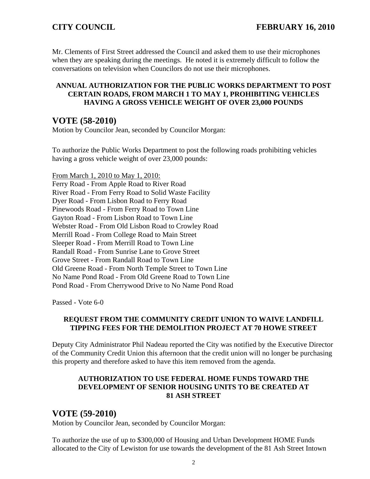Mr. Clements of First Street addressed the Council and asked them to use their microphones when they are speaking during the meetings. He noted it is extremely difficult to follow the conversations on television when Councilors do not use their microphones.

## **ANNUAL AUTHORIZATION FOR THE PUBLIC WORKS DEPARTMENT TO POST CERTAIN ROADS, FROM MARCH 1 TO MAY 1, PROHIBITING VEHICLES HAVING A GROSS VEHICLE WEIGHT OF OVER 23,000 POUNDS**

# **VOTE (58-2010)**

Motion by Councilor Jean, seconded by Councilor Morgan:

To authorize the Public Works Department to post the following roads prohibiting vehicles having a gross vehicle weight of over 23,000 pounds:

From March 1, 2010 to May 1, 2010: Ferry Road - From Apple Road to River Road River Road - From Ferry Road to Solid Waste Facility Dyer Road - From Lisbon Road to Ferry Road Pinewoods Road - From Ferry Road to Town Line Gayton Road - From Lisbon Road to Town Line Webster Road - From Old Lisbon Road to Crowley Road Merrill Road - From College Road to Main Street Sleeper Road - From Merrill Road to Town Line Randall Road - From Sunrise Lane to Grove Street Grove Street - From Randall Road to Town Line Old Greene Road - From North Temple Street to Town Line No Name Pond Road - From Old Greene Road to Town Line Pond Road - From Cherrywood Drive to No Name Pond Road

Passed - Vote 6-0

## **REQUEST FROM THE COMMUNITY CREDIT UNION TO WAIVE LANDFILL TIPPING FEES FOR THE DEMOLITION PROJECT AT 70 HOWE STREET**

Deputy City Administrator Phil Nadeau reported the City was notified by the Executive Director of the Community Credit Union this afternoon that the credit union will no longer be purchasing this property and therefore asked to have this item removed from the agenda.

## **AUTHORIZATION TO USE FEDERAL HOME FUNDS TOWARD THE DEVELOPMENT OF SENIOR HOUSING UNITS TO BE CREATED AT 81 ASH STREET**

# **VOTE (59-2010)**

Motion by Councilor Jean, seconded by Councilor Morgan:

To authorize the use of up to \$300,000 of Housing and Urban Development HOME Funds allocated to the City of Lewiston for use towards the development of the 81 Ash Street Intown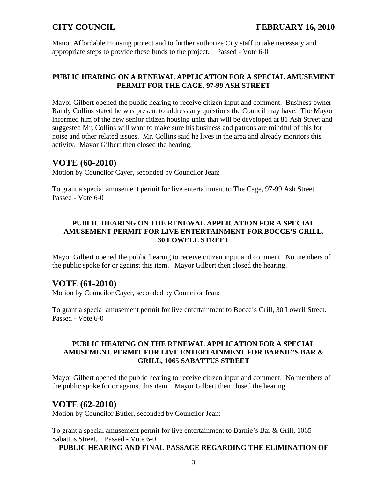Manor Affordable Housing project and to further authorize City staff to take necessary and appropriate steps to provide these funds to the project. Passed - Vote 6-0

## **PUBLIC HEARING ON A RENEWAL APPLICATION FOR A SPECIAL AMUSEMENT PERMIT FOR THE CAGE, 97-99 ASH STREET**

Mayor Gilbert opened the public hearing to receive citizen input and comment. Business owner Randy Collins stated he was present to address any questions the Council may have. The Mayor informed him of the new senior citizen housing units that will be developed at 81 Ash Street and suggested Mr. Collins will want to make sure his business and patrons are mindful of this for noise and other related issues. Mr. Collins said he lives in the area and already monitors this activity. Mayor Gilbert then closed the hearing.

# **VOTE (60-2010)**

Motion by Councilor Cayer, seconded by Councilor Jean:

To grant a special amusement permit for live entertainment to The Cage, 97-99 Ash Street. Passed - Vote 6-0

## **PUBLIC HEARING ON THE RENEWAL APPLICATION FOR A SPECIAL AMUSEMENT PERMIT FOR LIVE ENTERTAINMENT FOR BOCCE'S GRILL, 30 LOWELL STREET**

Mayor Gilbert opened the public hearing to receive citizen input and comment. No members of the public spoke for or against this item. Mayor Gilbert then closed the hearing.

# **VOTE (61-2010)**

Motion by Councilor Cayer, seconded by Councilor Jean:

To grant a special amusement permit for live entertainment to Bocce's Grill, 30 Lowell Street. Passed - Vote 6-0

## **PUBLIC HEARING ON THE RENEWAL APPLICATION FOR A SPECIAL AMUSEMENT PERMIT FOR LIVE ENTERTAINMENT FOR BARNIE'S BAR & GRILL, 1065 SABATTUS STREET**

Mayor Gilbert opened the public hearing to receive citizen input and comment. No members of the public spoke for or against this item. Mayor Gilbert then closed the hearing.

# **VOTE (62-2010)**

Motion by Councilor Butler, seconded by Councilor Jean:

To grant a special amusement permit for live entertainment to Barnie's Bar & Grill, 1065 Sabattus Street. Passed - Vote 6-0

**PUBLIC HEARING AND FINAL PASSAGE REGARDING THE ELIMINATION OF**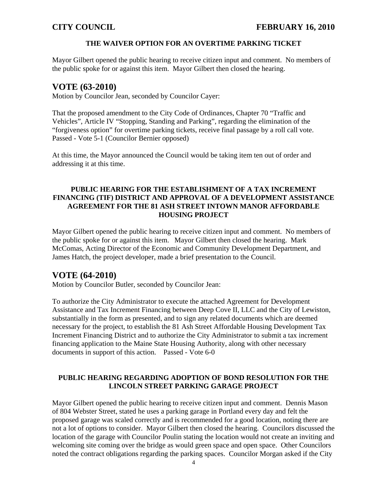## **THE WAIVER OPTION FOR AN OVERTIME PARKING TICKET**

Mayor Gilbert opened the public hearing to receive citizen input and comment. No members of the public spoke for or against this item. Mayor Gilbert then closed the hearing.

## **VOTE (63-2010)**

Motion by Councilor Jean, seconded by Councilor Cayer:

That the proposed amendment to the City Code of Ordinances, Chapter 70 "Traffic and Vehicles", Article IV "Stopping, Standing and Parking", regarding the elimination of the "forgiveness option" for overtime parking tickets, receive final passage by a roll call vote. Passed - Vote 5-1 (Councilor Bernier opposed)

At this time, the Mayor announced the Council would be taking item ten out of order and addressing it at this time.

## **PUBLIC HEARING FOR THE ESTABLISHMENT OF A TAX INCREMENT FINANCING (TIF) DISTRICT AND APPROVAL OF A DEVELOPMENT ASSISTANCE AGREEMENT FOR THE 81 ASH STREET INTOWN MANOR AFFORDABLE HOUSING PROJECT**

Mayor Gilbert opened the public hearing to receive citizen input and comment. No members of the public spoke for or against this item. Mayor Gilbert then closed the hearing. Mark McComas, Acting Director of the Economic and Community Development Department, and James Hatch, the project developer, made a brief presentation to the Council.

# **VOTE (64-2010)**

Motion by Councilor Butler, seconded by Councilor Jean:

To authorize the City Administrator to execute the attached Agreement for Development Assistance and Tax Increment Financing between Deep Cove II, LLC and the City of Lewiston, substantially in the form as presented, and to sign any related documents which are deemed necessary for the project, to establish the 81 Ash Street Affordable Housing Development Tax Increment Financing District and to authorize the City Administrator to submit a tax increment financing application to the Maine State Housing Authority, along with other necessary documents in support of this action. Passed - Vote 6-0

## **PUBLIC HEARING REGARDING ADOPTION OF BOND RESOLUTION FOR THE LINCOLN STREET PARKING GARAGE PROJECT**

Mayor Gilbert opened the public hearing to receive citizen input and comment. Dennis Mason of 804 Webster Street, stated he uses a parking garage in Portland every day and felt the proposed garage was scaled correctly and is recommended for a good location, noting there are not a lot of options to consider. Mayor Gilbert then closed the hearing. Councilors discussed the location of the garage with Councilor Poulin stating the location would not create an inviting and welcoming site coming over the bridge as would green space and open space. Other Councilors noted the contract obligations regarding the parking spaces. Councilor Morgan asked if the City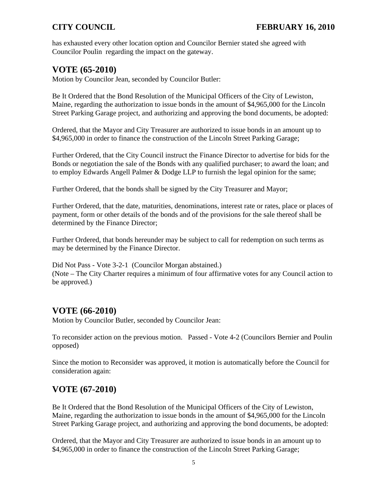has exhausted every other location option and Councilor Bernier stated she agreed with Councilor Poulin regarding the impact on the gateway.

# **VOTE (65-2010)**

Motion by Councilor Jean, seconded by Councilor Butler:

Be It Ordered that the Bond Resolution of the Municipal Officers of the City of Lewiston, Maine, regarding the authorization to issue bonds in the amount of \$4,965,000 for the Lincoln Street Parking Garage project, and authorizing and approving the bond documents, be adopted:

Ordered, that the Mayor and City Treasurer are authorized to issue bonds in an amount up to \$4,965,000 in order to finance the construction of the Lincoln Street Parking Garage;

Further Ordered, that the City Council instruct the Finance Director to advertise for bids for the Bonds or negotiation the sale of the Bonds with any qualified purchaser; to award the loan; and to employ Edwards Angell Palmer & Dodge LLP to furnish the legal opinion for the same;

Further Ordered, that the bonds shall be signed by the City Treasurer and Mayor;

Further Ordered, that the date, maturities, denominations, interest rate or rates, place or places of payment, form or other details of the bonds and of the provisions for the sale thereof shall be determined by the Finance Director;

Further Ordered, that bonds hereunder may be subject to call for redemption on such terms as may be determined by the Finance Director.

Did Not Pass - Vote 3-2-1 (Councilor Morgan abstained.) (Note – The City Charter requires a minimum of four affirmative votes for any Council action to be approved.)

# **VOTE (66-2010)**

Motion by Councilor Butler, seconded by Councilor Jean:

To reconsider action on the previous motion. Passed - Vote 4-2 (Councilors Bernier and Poulin opposed)

Since the motion to Reconsider was approved, it motion is automatically before the Council for consideration again:

# **VOTE (67-2010)**

Be It Ordered that the Bond Resolution of the Municipal Officers of the City of Lewiston, Maine, regarding the authorization to issue bonds in the amount of \$4,965,000 for the Lincoln Street Parking Garage project, and authorizing and approving the bond documents, be adopted:

Ordered, that the Mayor and City Treasurer are authorized to issue bonds in an amount up to \$4,965,000 in order to finance the construction of the Lincoln Street Parking Garage;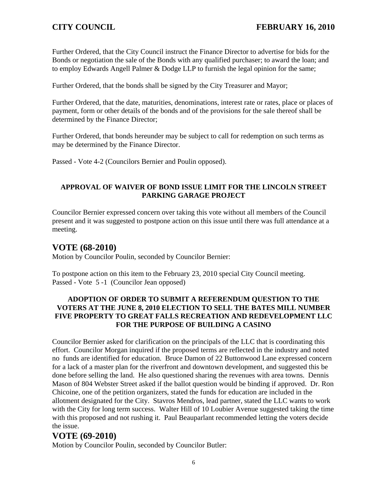Further Ordered, that the City Council instruct the Finance Director to advertise for bids for the Bonds or negotiation the sale of the Bonds with any qualified purchaser; to award the loan; and to employ Edwards Angell Palmer & Dodge LLP to furnish the legal opinion for the same;

Further Ordered, that the bonds shall be signed by the City Treasurer and Mayor;

Further Ordered, that the date, maturities, denominations, interest rate or rates, place or places of payment, form or other details of the bonds and of the provisions for the sale thereof shall be determined by the Finance Director;

Further Ordered, that bonds hereunder may be subject to call for redemption on such terms as may be determined by the Finance Director.

Passed - Vote 4-2 (Councilors Bernier and Poulin opposed).

## **APPROVAL OF WAIVER OF BOND ISSUE LIMIT FOR THE LINCOLN STREET PARKING GARAGE PROJECT**

Councilor Bernier expressed concern over taking this vote without all members of the Council present and it was suggested to postpone action on this issue until there was full attendance at a meeting.

# **VOTE (68-2010)**

Motion by Councilor Poulin, seconded by Councilor Bernier:

To postpone action on this item to the February 23, 2010 special City Council meeting. Passed - Vote 5 -1 (Councilor Jean opposed)

## **ADOPTION OF ORDER TO SUBMIT A REFERENDUM QUESTION TO THE VOTERS AT THE JUNE 8, 2010 ELECTION TO SELL THE BATES MILL NUMBER FIVE PROPERTY TO GREAT FALLS RECREATION AND REDEVELOPMENT LLC FOR THE PURPOSE OF BUILDING A CASINO**

Councilor Bernier asked for clarification on the principals of the LLC that is coordinating this effort. Councilor Morgan inquired if the proposed terms are reflected in the industry and noted no funds are identified for education. Bruce Damon of 22 Buttonwood Lane expressed concern for a lack of a master plan for the riverfront and downtown development, and suggested this be done before selling the land. He also questioned sharing the revenues with area towns. Dennis Mason of 804 Webster Street asked if the ballot question would be binding if approved. Dr. Ron Chicoine, one of the petition organizers, stated the funds for education are included in the allotment designated for the City. Stavros Mendros, lead partner, stated the LLC wants to work with the City for long term success. Walter Hill of 10 Loubier Avenue suggested taking the time with this proposed and not rushing it. Paul Beauparlant recommended letting the voters decide the issue.

# **VOTE (69-2010)**

Motion by Councilor Poulin, seconded by Councilor Butler: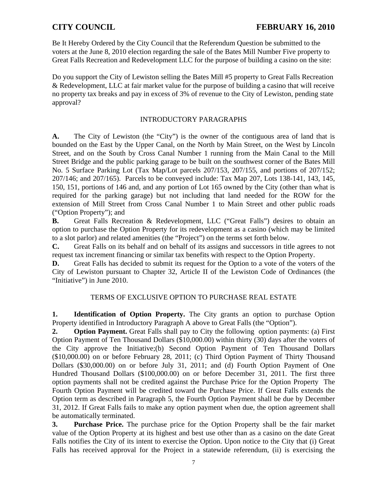Be It Hereby Ordered by the City Council that the Referendum Question be submitted to the voters at the June 8, 2010 election regarding the sale of the Bates Mill Number Five property to Great Falls Recreation and Redevelopment LLC for the purpose of building a casino on the site:

Do you support the City of Lewiston selling the Bates Mill #5 property to Great Falls Recreation & Redevelopment, LLC at fair market value for the purpose of building a casino that will receive no property tax breaks and pay in excess of 3% of revenue to the City of Lewiston, pending state approval?

## INTRODUCTORY PARAGRAPHS

**A.** The City of Lewiston (the "City") is the owner of the contiguous area of land that is bounded on the East by the Upper Canal, on the North by Main Street, on the West by Lincoln Street, and on the South by Cross Canal Number 1 running from the Main Canal to the Mill Street Bridge and the public parking garage to be built on the southwest corner of the Bates Mill No. 5 Surface Parking Lot (Tax Map/Lot parcels 207/153, 207/155, and portions of 207/152; 207/146; and 207/165). Parcels to be conveyed include: Tax Map 207, Lots 138-141, 143, 145, 150, 151, portions of 146 and, and any portion of Lot 165 owned by the City (other than what is required for the parking garage) but not including that land needed for the ROW for the extension of Mill Street from Cross Canal Number 1 to Main Street and other public roads ("Option Property"); and

**B.** Great Falls Recreation & Redevelopment, LLC ("Great Falls") desires to obtain an option to purchase the Option Property for its redevelopment as a casino (which may be limited to a slot parlor) and related amenities (the "Project") on the terms set forth below.

**C.** Great Falls on its behalf and on behalf of its assigns and successors in title agrees to not request tax increment financing or similar tax benefits with respect to the Option Property.

**D.** Great Falls has decided to submit its request for the Option to a vote of the voters of the City of Lewiston pursuant to Chapter 32, Article II of the Lewiston Code of Ordinances (the "Initiative") in June 2010.

## TERMS OF EXCLUSIVE OPTION TO PURCHASE REAL ESTATE

**1. Identification of Option Property.** The City grants an option to purchase Option Property identified in Introductory Paragraph A above to Great Falls (the "Option").

**2. Option Payment.** Great Falls shall pay to City the following option payments: (a) First Option Payment of Ten Thousand Dollars (\$10,000.00) within thirty (30) days after the voters of the City approve the Initiative;(b) Second Option Payment of Ten Thousand Dollars (\$10,000.00) on or before February 28, 2011; (c) Third Option Payment of Thirty Thousand Dollars (\$30,000.00) on or before July 31, 2011; and (d) Fourth Option Payment of One Hundred Thousand Dollars (\$100,000.00) on or before December 31, 2011. The first three option payments shall not be credited against the Purchase Price for the Option Property The Fourth Option Payment will be credited toward the Purchase Price. If Great Falls extends the Option term as described in Paragraph 5, the Fourth Option Payment shall be due by December 31, 2012. If Great Falls fails to make any option payment when due, the option agreement shall be automatically terminated.

**3. Purchase Price.** The purchase price for the Option Property shall be the fair market value of the Option Property at its highest and best use other than as a casino on the date Great Falls notifies the City of its intent to exercise the Option. Upon notice to the City that (i) Great Falls has received approval for the Project in a statewide referendum, (ii) is exercising the

7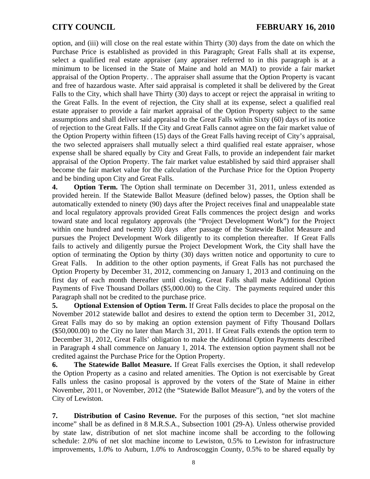option, and (iii) will close on the real estate within Thirty (30) days from the date on which the Purchase Price is established as provided in this Paragraph; Great Falls shall at its expense, select a qualified real estate appraiser (any appraiser referred to in this paragraph is at a minimum to be licensed in the State of Maine and hold an MAI) to provide a fair market appraisal of the Option Property. . The appraiser shall assume that the Option Property is vacant and free of hazardous waste. After said appraisal is completed it shall be delivered by the Great Falls to the City, which shall have Thirty (30) days to accept or reject the appraisal in writing to the Great Falls. In the event of rejection, the City shall at its expense, select a qualified real estate appraiser to provide a fair market appraisal of the Option Property subject to the same assumptions and shall deliver said appraisal to the Great Falls within Sixty (60) days of its notice of rejection to the Great Falls. If the City and Great Falls cannot agree on the fair market value of the Option Property within fifteen (15) days of the Great Falls having receipt of City's appraisal, the two selected appraisers shall mutually select a third qualified real estate appraiser, whose expense shall be shared equally by City and Great Falls, to provide an independent fair market appraisal of the Option Property. The fair market value established by said third appraiser shall become the fair market value for the calculation of the Purchase Price for the Option Property and be binding upon City and Great Falls.

**4. Option Term.** The Option shall terminate on December 31, 2011, unless extended as provided herein. If the Statewide Ballot Measure (defined below) passes, the Option shall be automatically extended to ninety (90) days after the Project receives final and unappealable state and local regulatory approvals provided Great Falls commences the project design and works toward state and local regulatory approvals (the "Project Development Work") for the Project within one hundred and twenty 120) days after passage of the Statewide Ballot Measure and pursues the Project Development Work diligently to its completion thereafter. If Great Falls fails to actively and diligently pursue the Project Development Work, the City shall have the option of terminating the Option by thirty (30) days written notice and opportunity to cure to Great Falls. In addition to the other option payments, if Great Falls has not purchased the Option Property by December 31, 2012, commencing on January 1, 2013 and continuing on the first day of each month thereafter until closing, Great Falls shall make Additional Option Payments of Five Thousand Dollars (\$5,000.00) to the City. The payments required under this Paragraph shall not be credited to the purchase price.

**5. Optional Extension of Option Term.** If Great Falls decides to place the proposal on the November 2012 statewide ballot and desires to extend the option term to December 31, 2012, Great Falls may do so by making an option extension payment of Fifty Thousand Dollars (\$50,000.00) to the City no later than March 31, 2011. If Great Falls extends the option term to December 31, 2012, Great Falls' obligation to make the Additional Option Payments described in Paragraph 4 shall commence on January 1, 2014. The extension option payment shall not be credited against the Purchase Price for the Option Property.

**6. The Statewide Ballot Measure.** If Great Falls exercises the Option, it shall redevelop the Option Property as a casino and related amenities. The Option is not exercisable by Great Falls unless the casino proposal is approved by the voters of the State of Maine in either November, 2011, or November, 2012 (the "Statewide Ballot Measure"), and by the voters of the City of Lewiston.

**7. Distribution of Casino Revenue.** For the purposes of this section, "net slot machine income" shall be as defined in 8 M.R.S.A., Subsection 1001 (29-A). Unless otherwise provided by state law, distribution of net slot machine income shall be according to the following schedule: 2.0% of net slot machine income to Lewiston, 0.5% to Lewiston for infrastructure improvements, 1.0% to Auburn, 1.0% to Androscoggin County, 0.5% to be shared equally by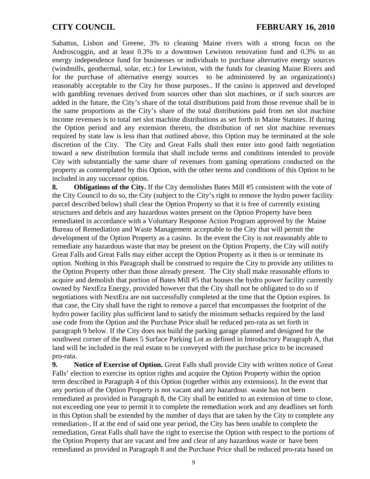Sabattus, Lisbon and Greene, 3% to cleaning Maine rivers with a strong focus on the Androscoggin, and at least 0.3% to a downtown Lewiston renovation fund and 0.3% to an energy independence fund for businesses or individuals to purchase alternative energy sources (windmills, geothermal, solar, etc.) for Lewiston, with the funds for cleaning Maine Rivers and for the purchase of alternative energy sources to be administered by an organization(s) reasonably acceptable to the City for those purposes.. If the casino is approved and developed with gambling revenues derived from sources other than slot machines, or if such sources are added in the future, the City's share of the total distributions paid from those revenue shall be in the same proportions as the City's share of the total distributions paid from net slot machine income revenues is to total net slot machine distributions as set forth in Maine Statutes. If during the Option period and any extension thereto, the distribution of net slot machine revenues required by state law is less than that outlined above, this Option may be terminated at the sole discretion of the City. The City and Great Falls shall then enter into good faith negotiation toward a new distribution formula that shall include terms and conditions intended to provide City with substantially the same share of revenues from gaming operations conducted on the property as contemplated by this Option, with the other terms and conditions of this Option to be included in any successor option.

**8. Obligations of the City.** If the City demolishes Bates Mill #5 consistent with the vote of the City Council to do so, the City (subject to the City's right to remove the hydro power facility parcel described below) shall clear the Option Property so that it is free of currently existing structures and debris and any hazardous wastes present on the Option Property have been remediated in accordance with a Voluntary Response Action Program approved by the Maine Bureau of Remediation and Waste Management acceptable to the City that will permit the development of the Option Property as a casino. In the event the City is not reasonably able to remediate any hazardous waste that may be present on the Option Property, the City will notify Great Falls and Great Falls may either accept the Option Property as it then is or terminate its option. Nothing in this Paragraph shall be construed to require the City to provide any utilities to the Option Property other than those already present. The City shall make reasonable efforts to acquire and demolish that portion of Bates Mill #5 that houses the hydro power facility currently owned by NextEra Energy, provided however that the City shall not be obligated to do so if negotiations with NextEra are not successfully completed at the time that the Option expires. In that case, the City shall have the right to remove a parcel that encompasses the footprint of the hydro power facility plus sufficient land to satisfy the minimum setbacks required by the land use code from the Option and the Purchase Price shall be reduced pro-rata as set forth in paragraph 9 below. If the City does not build the parking garage planned and designed for the southwest corner of the Bates 5 Surface Parking Lot as defined in Introductory Paragraph A, that land will be included in the real estate to be conveyed with the purchase price to be increased pro-rata.

**9.** Notice of Exercise of Option. Great Falls shall provide City with written notice of Great Falls' election to exercise its option rights and acquire the Option Property within the option term described in Paragraph 4 of this Option (together within any extensions). In the event that any portion of the Option Property is not vacant and any hazardous waste has not been remediated as provided in Paragraph 8, the City shall be entitled to an extension of time to close, not exceeding one year to permit it to complete the remediation work and any deadlines set forth in this Option shall be extended by the number of days that are taken by the City to complete any remediation-, If at the end of said one year period, the City has been unable to complete the remediation, Great Falls shall have the right to exercise the Option with respect to the portions of the Option Property that are vacant and free and clear of any hazardous waste or have been remediated as provided in Paragraph 8 and the Purchase Price shall be reduced pro-rata based on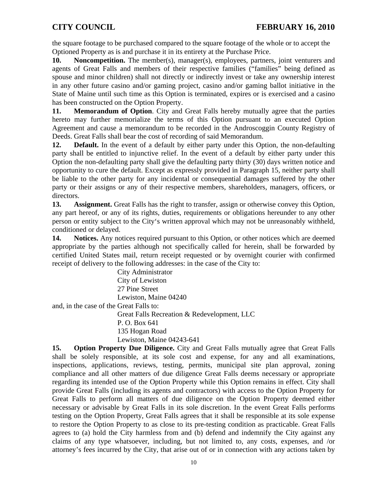the square footage to be purchased compared to the square footage of the whole or to accept the Optioned Property as is and purchase it in its entirety at the Purchase Price.

**10.** Noncompetition. The member(s), manager(s), employees, partners, joint venturers and agents of Great Falls and members of their respective families ("families" being defined as spouse and minor children) shall not directly or indirectly invest or take any ownership interest in any other future casino and/or gaming project, casino and/or gaming ballot initiative in the State of Maine until such time as this Option is terminated, expires or is exercised and a casino has been constructed on the Option Property.

**11. Memorandum of Option.** City and Great Falls hereby mutually agree that the parties hereto may further memorialize the terms of this Option pursuant to an executed Option Agreement and cause a memorandum to be recorded in the Androscoggin County Registry of Deeds. Great Falls shall bear the cost of recording of said Memorandum.

12. **Default.** In the event of a default by either party under this Option, the non-defaulting party shall be entitled to injunctive relief. In the event of a default by either party under this Option the non-defaulting party shall give the defaulting party thirty (30) days written notice and opportunity to cure the default. Except as expressly provided in Paragraph 15, neither party shall be liable to the other party for any incidental or consequential damages suffered by the other party or their assigns or any of their respective members, shareholders, managers, officers, or directors.

**13. Assignment.** Great Falls has the right to transfer, assign or otherwise convey this Option, any part hereof, or any of its rights, duties, requirements or obligations hereunder to any other person or entity subject to the City's written approval which may not be unreasonably withheld, conditioned or delayed.

**14. Notices.** Any notices required pursuant to this Option, or other notices which are deemed appropriate by the parties although not specifically called for herein, shall be forwarded by certified United States mail, return receipt requested or by overnight courier with confirmed receipt of delivery to the following addresses: in the case of the City to:

City Administrator City of Lewiston 27 Pine Street Lewiston, Maine 04240 and, in the case of the Great Falls to: Great Falls Recreation & Redevelopment, LLC P. O. Box 641 135 Hogan Road Lewiston, Maine 04243-641

**15.** Option Property Due Diligence. City and Great Falls mutually agree that Great Falls shall be solely responsible, at its sole cost and expense, for any and all examinations, inspections, applications, reviews, testing, permits, municipal site plan approval, zoning compliance and all other matters of due diligence Great Falls deems necessary or appropriate regarding its intended use of the Option Property while this Option remains in effect. City shall provide Great Falls (including its agents and contractors) with access to the Option Property for Great Falls to perform all matters of due diligence on the Option Property deemed either necessary or advisable by Great Falls in its sole discretion. In the event Great Falls performs testing on the Option Property, Great Falls agrees that it shall be responsible at its sole expense to restore the Option Property to as close to its pre-testing condition as practicable. Great Falls agrees to (a) hold the City harmless from and (b) defend and indemnify the City against any claims of any type whatsoever, including, but not limited to, any costs, expenses, and /or attorney's fees incurred by the City, that arise out of or in connection with any actions taken by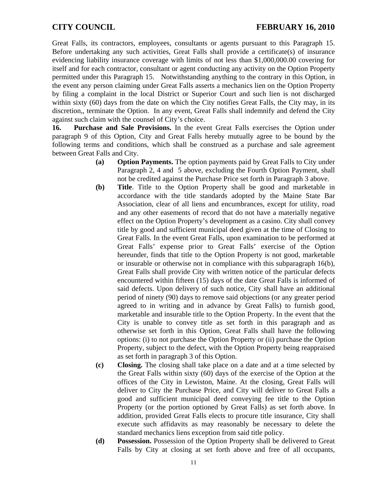Great Falls, its contractors, employees, consultants or agents pursuant to this Paragraph 15. Before undertaking any such activities, Great Falls shall provide a certificate(s) of insurance evidencing liability insurance coverage with limits of not less than \$1,000,000.00 covering for itself and for each contractor, consultant or agent conducting any activity on the Option Property permitted under this Paragraph 15. Notwithstanding anything to the contrary in this Option, in the event any person claiming under Great Falls asserts a mechanics lien on the Option Property by filing a complaint in the local District or Superior Court and such lien is not discharged within sixty (60) days from the date on which the City notifies Great Falls, the City may, in its discretion,, terminate the Option. In any event, Great Falls shall indemnify and defend the City against such claim with the counsel of City's choice.

**16. Purchase and Sale Provisions.** In the event Great Falls exercises the Option under paragraph 9 of this Option, City and Great Falls hereby mutually agree to be bound by the following terms and conditions, which shall be construed as a purchase and sale agreement between Great Falls and City.

- **(a) Option Payments.** The option payments paid by Great Falls to City under Paragraph 2, 4 and 5 above, excluding the Fourth Option Payment, shall not be credited against the Purchase Price set forth in Paragraph 3 above.
- **(b) Title**. Title to the Option Property shall be good and marketable in accordance with the title standards adopted by the Maine State Bar Association, clear of all liens and encumbrances, except for utility, road and any other easements of record that do not have a materially negative effect on the Option Property's development as a casino. City shall convey title by good and sufficient municipal deed given at the time of Closing to Great Falls. In the event Great Falls, upon examination to be performed at Great Falls' expense prior to Great Falls' exercise of the Option hereunder, finds that title to the Option Property is not good, marketable or insurable or otherwise not in compliance with this subparagraph 16(b), Great Falls shall provide City with written notice of the particular defects encountered within fifteen (15) days of the date Great Falls is informed of said defects. Upon delivery of such notice, City shall have an additional period of ninety (90) days to remove said objections (or any greater period agreed to in writing and in advance by Great Falls) to furnish good, marketable and insurable title to the Option Property. In the event that the City is unable to convey title as set forth in this paragraph and as otherwise set forth in this Option, Great Falls shall have the following options: (i) to not purchase the Option Property or (ii) purchase the Option Property, subject to the defect, with the Option Property being reappraised as set forth in paragraph 3 of this Option.
- **(c) Closing.** The closing shall take place on a date and at a time selected by the Great Falls within sixty (60) days of the exercise of the Option at the offices of the City in Lewiston, Maine. At the closing, Great Falls will deliver to City the Purchase Price, and City will deliver to Great Falls a good and sufficient municipal deed conveying fee title to the Option Property (or the portion optioned by Great Falls) as set forth above. In addition, provided Great Falls elects to procure title insurance, City shall execute such affidavits as may reasonably be necessary to delete the standard mechanics liens exception from said title policy.
- **(d) Possession.** Possession of the Option Property shall be delivered to Great Falls by City at closing at set forth above and free of all occupants,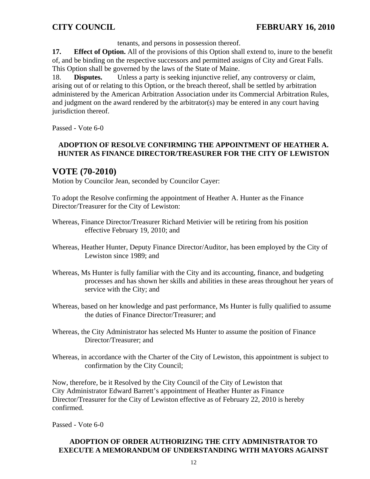tenants, and persons in possession thereof.

**17. Effect of Option.** All of the provisions of this Option shall extend to, inure to the benefit of, and be binding on the respective successors and permitted assigns of City and Great Falls. This Option shall be governed by the laws of the State of Maine.

18. **Disputes.** Unless a party is seeking injunctive relief, any controversy or claim, arising out of or relating to this Option, or the breach thereof, shall be settled by arbitration administered by the American Arbitration Association under its Commercial Arbitration Rules, and judgment on the award rendered by the arbitrator(s) may be entered in any court having jurisdiction thereof.

Passed - Vote 6-0

## **ADOPTION OF RESOLVE CONFIRMING THE APPOINTMENT OF HEATHER A. HUNTER AS FINANCE DIRECTOR/TREASURER FOR THE CITY OF LEWISTON**

# **VOTE (70-2010)**

Motion by Councilor Jean, seconded by Councilor Cayer:

To adopt the Resolve confirming the appointment of Heather A. Hunter as the Finance Director/Treasurer for the City of Lewiston:

- Whereas, Finance Director/Treasurer Richard Metivier will be retiring from his position effective February 19, 2010; and
- Whereas, Heather Hunter, Deputy Finance Director/Auditor, has been employed by the City of Lewiston since 1989; and
- Whereas, Ms Hunter is fully familiar with the City and its accounting, finance, and budgeting processes and has shown her skills and abilities in these areas throughout her years of service with the City; and
- Whereas, based on her knowledge and past performance, Ms Hunter is fully qualified to assume the duties of Finance Director/Treasurer; and
- Whereas, the City Administrator has selected Ms Hunter to assume the position of Finance Director/Treasurer; and
- Whereas, in accordance with the Charter of the City of Lewiston, this appointment is subject to confirmation by the City Council;

Now, therefore, be it Resolved by the City Council of the City of Lewiston that City Administrator Edward Barrett's appointment of Heather Hunter as Finance Director/Treasurer for the City of Lewiston effective as of February 22, 2010 is hereby confirmed.

Passed - Vote 6-0

## **ADOPTION OF ORDER AUTHORIZING THE CITY ADMINISTRATOR TO EXECUTE A MEMORANDUM OF UNDERSTANDING WITH MAYORS AGAINST**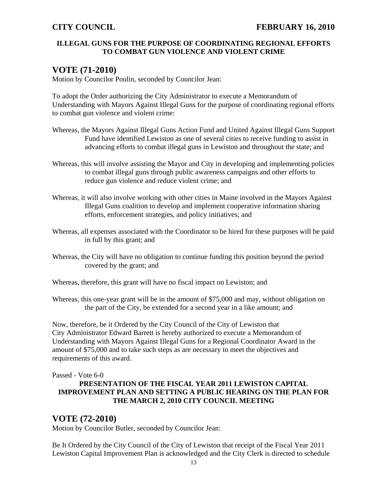## **ILLEGAL GUNS FOR THE PURPOSE OF COORDINATING REGIONAL EFFORTS TO COMBAT GUN VIOLENCE AND VIOLENT CRIME**

# **VOTE (71-2010)**

Motion by Councilor Poulin, seconded by Councilor Jean:

To adopt the Order authorizing the City Administrator to execute a Memorandum of Understanding with Mayors Against Illegal Guns for the purpose of coordinating regional efforts to combat gun violence and violent crime:

- Whereas, the Mayors Against Illegal Guns Action Fund and United Against Illegal Guns Support Fund have identified Lewiston as one of several cities to receive funding to assist in advancing efforts to combat illegal guns in Lewiston and throughout the state; and
- Whereas, this will involve assisting the Mayor and City in developing and implementing policies to combat illegal guns through public awareness campaigns and other efforts to reduce gun violence and reduce violent crime; and
- Whereas, it will also involve working with other cities in Maine involved in the Mayors Against Illegal Guns coalition to develop and implement cooperative information sharing efforts, enforcement strategies, and policy initiatives; and
- Whereas, all expenses associated with the Coordinator to be hired for these purposes will be paid in full by this grant; and
- Whereas, the City will have no obligation to continue funding this position beyond the period covered by the grant; and
- Whereas, therefore, this grant will have no fiscal impact on Lewiston; and
- Whereas, this one-year grant will be in the amount of \$75,000 and may, without obligation on the part of the City, be extended for a second year in a like amount; and

Now, therefore, be it Ordered by the City Council of the City of Lewiston that City Administrator Edward Barrett is hereby authorized to execute a Memorandum of Understanding with Mayors Against Illegal Guns for a Regional Coordinator Award in the amount of \$75,000 and to take such steps as are necessary to meet the objectives and requirements of this award.

Passed - Vote 6-0

## **PRESENTATION OF THE FISCAL YEAR 2011 LEWISTON CAPITAL IMPROVEMENT PLAN AND SETTING A PUBLIC HEARING ON THE PLAN FOR THE MARCH 2, 2010 CITY COUNCIL MEETING**

# **VOTE (72-2010)**

Motion by Councilor Butler, seconded by Councilor Jean:

Be It Ordered by the City Council of the City of Lewiston that receipt of the Fiscal Year 2011 Lewiston Capital Improvement Plan is acknowledged and the City Clerk is directed to schedule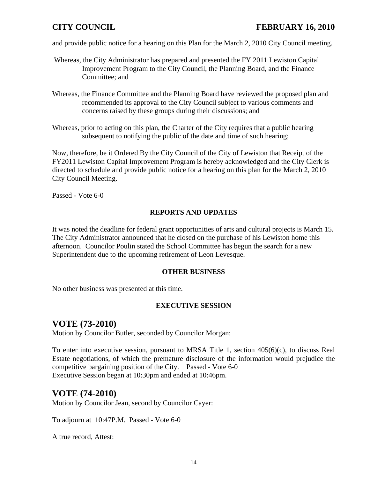# **CITY COUNCIL FEBRUARY 16, 2010**

and provide public notice for a hearing on this Plan for the March 2, 2010 City Council meeting.

- Whereas, the City Administrator has prepared and presented the FY 2011 Lewiston Capital Improvement Program to the City Council, the Planning Board, and the Finance Committee; and
- Whereas, the Finance Committee and the Planning Board have reviewed the proposed plan and recommended its approval to the City Council subject to various comments and concerns raised by these groups during their discussions; and
- Whereas, prior to acting on this plan, the Charter of the City requires that a public hearing subsequent to notifying the public of the date and time of such hearing;

Now, therefore, be it Ordered By the City Council of the City of Lewiston that Receipt of the FY2011 Lewiston Capital Improvement Program is hereby acknowledged and the City Clerk is directed to schedule and provide public notice for a hearing on this plan for the March 2, 2010 City Council Meeting.

Passed - Vote 6-0

## **REPORTS AND UPDATES**

It was noted the deadline for federal grant opportunities of arts and cultural projects is March 15. The City Administrator announced that he closed on the purchase of his Lewiston home this afternoon. Councilor Poulin stated the School Committee has begun the search for a new Superintendent due to the upcoming retirement of Leon Levesque.

## **OTHER BUSINESS**

No other business was presented at this time.

## **EXECUTIVE SESSION**

# **VOTE (73-2010)**

Motion by Councilor Butler, seconded by Councilor Morgan:

To enter into executive session, pursuant to MRSA Title 1, section 405(6)(c), to discuss Real Estate negotiations, of which the premature disclosure of the information would prejudice the competitive bargaining position of the City. Passed - Vote 6-0 Executive Session began at 10:30pm and ended at 10:46pm.

## **VOTE (74-2010)**

Motion by Councilor Jean, second by Councilor Cayer:

To adjourn at 10:47P.M. Passed - Vote 6-0

A true record, Attest: